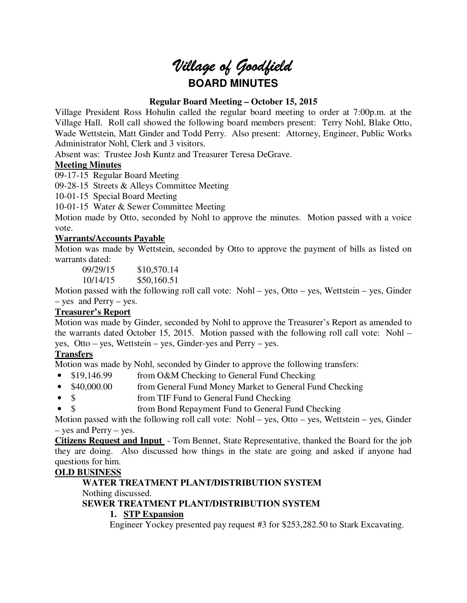# *Village of Goodfield* **BOARD MINUTES**

#### **Regular Board Meeting – October 15, 2015**

Village President Ross Hohulin called the regular board meeting to order at 7:00p.m. at the Village Hall. Roll call showed the following board members present: Terry Nohl, Blake Otto, Wade Wettstein, Matt Ginder and Todd Perry. Also present: Attorney, Engineer, Public Works Administrator Nohl, Clerk and 3 visitors.

Absent was: Trustee Josh Kuntz and Treasurer Teresa DeGrave.

#### **Meeting Minutes**

09-17-15 Regular Board Meeting

09-28-15 Streets & Alleys Committee Meeting

10-01-15 Special Board Meeting

10-01-15 Water & Sewer Committee Meeting

Motion made by Otto, seconded by Nohl to approve the minutes. Motion passed with a voice vote.

#### **Warrants/Accounts Payable**

Motion was made by Wettstein, seconded by Otto to approve the payment of bills as listed on warrants dated:

09/29/15 \$10,570.14

10/14/15 \$50,160.51

Motion passed with the following roll call vote: Nohl – yes, Otto – yes, Wettstein – yes, Ginder – yes and Perry – yes.

#### **Treasurer's Report**

Motion was made by Ginder, seconded by Nohl to approve the Treasurer's Report as amended to the warrants dated October 15, 2015. Motion passed with the following roll call vote: Nohl – yes, Otto – yes, Wettstein – yes, Ginder-yes and Perry – yes.

# **Transfers**

Motion was made by Nohl, seconded by Ginder to approve the following transfers:

- \$19,146.99 from O&M Checking to General Fund Checking
- \$40,000.00 from General Fund Money Market to General Fund Checking
- \$ from TIF Fund to General Fund Checking
- \$ from Bond Repayment Fund to General Fund Checking

Motion passed with the following roll call vote: Nohl – yes, Otto – yes, Wettstein – yes, Ginder – yes and Perry – yes.

**Citizens Request and Input** - Tom Bennet, State Representative, thanked the Board for the job they are doing. Also discussed how things in the state are going and asked if anyone had questions for him.

# **OLD BUSINESS**

# **WATER TREATMENT PLANT/DISTRIBUTION SYSTEM**

Nothing discussed.

# **SEWER TREATMENT PLANT/DISTRIBUTION SYSTEM**

# **1. STP Expansion**

Engineer Yockey presented pay request #3 for \$253,282.50 to Stark Excavating.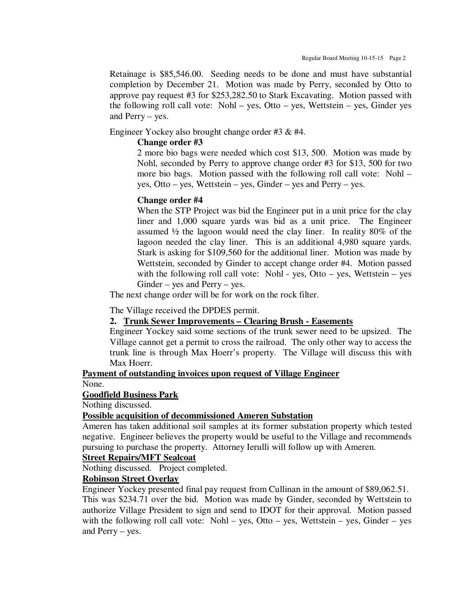Retainage is \$85,546.00. Seeding needs to be done and must have substantial completion by December 21. Motion was made by Perry, seconded by Otto to approve pay request #3 for \$253,282.50 to Stark Excavating. Motion passed with the following roll call vote: Nohl – yes, Otto – yes, Wettstein – yes, Ginder yes and Perry – yes.

Engineer Yockey also brought change order #3 & #4.

#### **Change order #3**

2 more bio bags were needed which cost \$13, 500. Motion was made by Nohl, seconded by Perry to approve change order #3 for \$13, 500 for two more bio bags. Motion passed with the following roll call vote: Nohl – yes, Otto – yes, Wettstein – yes, Ginder – yes and Perry – yes.

#### **Change order #4**

When the STP Project was bid the Engineer put in a unit price for the clay liner and 1,000 square yards was bid as a unit price. The Engineer assumed ½ the lagoon would need the clay liner. In reality 80% of the lagoon needed the clay liner. This is an additional 4,980 square yards. Stark is asking for \$109,560 for the additional liner. Motion was made by Wettstein, seconded by Ginder to accept change order #4. Motion passed with the following roll call vote: Nohl - yes, Otto  $-$  yes, Wettstein  $-$  yes Ginder – yes and Perry – yes.

The next change order will be for work on the rock filter.

The Village received the DPDES permit.

#### **2. Trunk Sewer Improvements – Clearing Brush - Easements**

Engineer Yockey said some sections of the trunk sewer need to be upsized. The Village cannot get a permit to cross the railroad. The only other way to access the trunk line is through Max Hoerr's property. The Village will discuss this with Max Hoerr.

#### **Payment of outstanding invoices upon request of Village Engineer**

None.

#### **Goodfield Business Park**

Nothing discussed.

#### **Possible acquisition of decommissioned Ameren Substation**

Ameren has taken additional soil samples at its former substation property which tested negative. Engineer believes the property would be useful to the Village and recommends pursuing to purchase the property. Attorney Ierulli will follow up with Ameren.

#### **Street Repairs/MFT Sealcoat**

Nothing discussed. Project completed.

#### **Robinson Street Overlay**

Engineer Yockey presented final pay request from Cullinan in the amount of \$89,062.51. This was \$234.71 over the bid. Motion was made by Ginder, seconded by Wettstein to authorize Village President to sign and send to IDOT for their approval. Motion passed with the following roll call vote: Nohl – yes, Otto – yes, Wettstein – yes, Ginder – yes and Perry – yes.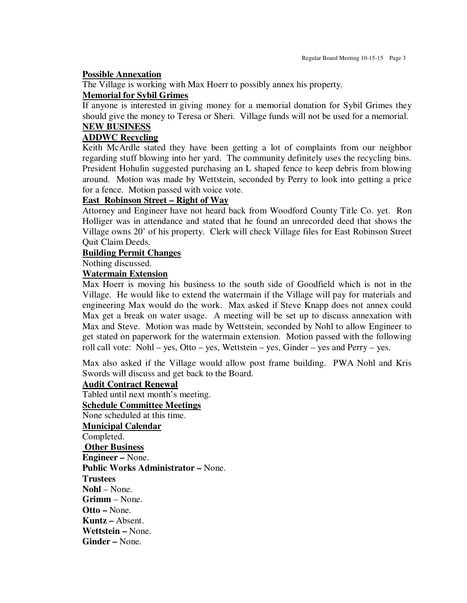#### **Possible Annexation**

The Village is working with Max Hoerr to possibly annex his property.

#### **Memorial for Sybil Grimes**

If anyone is interested in giving money for a memorial donation for Sybil Grimes they should give the money to Teresa or Sheri. Village funds will not be used for a memorial. **NEW BUSINESS** 

# **ADDWC Recycling**

Keith McArdle stated they have been getting a lot of complaints from our neighbor regarding stuff blowing into her yard. The community definitely uses the recycling bins. President Hohulin suggested purchasing an L shaped fence to keep debris from blowing around. Motion was made by Wettstein, seconded by Perry to look into getting a price for a fence. Motion passed with voice vote.

#### **East Robinson Street – Right of Way**

Attorney and Engineer have not heard back from Woodford County Title Co. yet. Ron Holliger was in attendance and stated that he found an unrecorded deed that shows the Village owns 20' of his property. Clerk will check Village files for East Robinson Street Quit Claim Deeds.

#### **Building Permit Changes**

Nothing discussed.

#### **Watermain Extension**

Max Hoerr is moving his business to the south side of Goodfield which is not in the Village. He would like to extend the watermain if the Village will pay for materials and engineering Max would do the work. Max asked if Steve Knapp does not annex could Max get a break on water usage. A meeting will be set up to discuss annexation with Max and Steve. Motion was made by Wettstein, seconded by Nohl to allow Engineer to get stated on paperwork for the watermain extension. Motion passed with the following roll call vote: Nohl – yes, Otto – yes, Wettstein – yes, Ginder – yes and Perry – yes.

Max also asked if the Village would allow post frame building. PWA Nohl and Kris Swords will discuss and get back to the Board.

#### **Audit Contract Renewal**

Tabled until next month's meeting.

#### **Schedule Committee Meetings**  None scheduled at this time.

**Municipal Calendar**  Completed.  **Other Business Engineer –** None. **Public Works Administrator –** None. **Trustees Nohl** – None. **Grimm** – None. **Otto –** None. **Kuntz –** Absent. **Wettstein –** None. **Ginder –** None.